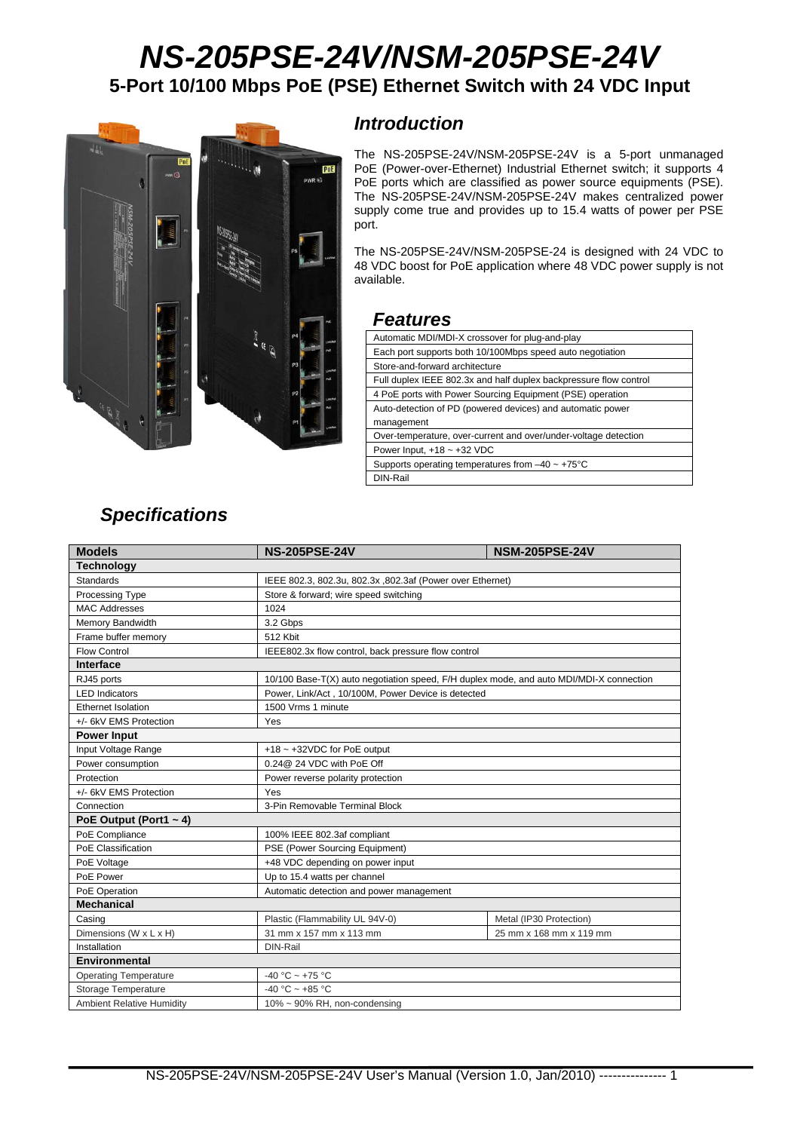# *NS-205PSE-24V/NSM-205PSE-24V*  **5-Port 10/100 Mbps PoE (PSE) Ethernet Switch with 24 VDC Input**



#### *Introduction*

The NS-205PSE-24V/NSM-205PSE-24V is a 5-port unmanaged PoE (Power-over-Ethernet) Industrial Ethernet switch; it supports 4 PoE ports which are classified as power source equipments (PSE). The NS-205PSE-24V/NSM-205PSE-24V makes centralized power supply come true and provides up to 15.4 watts of power per PSE port.

The NS-205PSE-24V/NSM-205PSE-24 is designed with 24 VDC to 48 VDC boost for PoE application where 48 VDC power supply is not available.

#### *Features*

| Automatic MDI/MDI-X crossover for plug-and-play                   |
|-------------------------------------------------------------------|
| Each port supports both 10/100Mbps speed auto negotiation         |
| Store-and-forward architecture                                    |
| Full duplex IEEE 802.3x and half duplex backpressure flow control |
| 4 PoE ports with Power Sourcing Equipment (PSE) operation         |
| Auto-detection of PD (powered devices) and automatic power        |
| management                                                        |
| Over-temperature, over-current and over/under-voltage detection   |
| Power Input, $+18 - +32$ VDC                                      |
| Supports operating temperatures from $-40 \sim +75^{\circ}$ C     |
| DIN-Rail                                                          |

### *Specifications*

| <b>Models</b>                    | <b>NS-205PSE-24V</b>                                                                    | <b>NSM-205PSE-24V</b>   |  |  |
|----------------------------------|-----------------------------------------------------------------------------------------|-------------------------|--|--|
| <b>Technology</b>                |                                                                                         |                         |  |  |
| <b>Standards</b>                 | IEEE 802.3, 802.3u, 802.3x, 802.3af (Power over Ethernet)                               |                         |  |  |
| Processing Type                  | Store & forward; wire speed switching                                                   |                         |  |  |
| <b>MAC Addresses</b>             | 1024                                                                                    |                         |  |  |
| Memory Bandwidth                 | 3.2 Gbps                                                                                |                         |  |  |
| Frame buffer memory              | 512 Kbit                                                                                |                         |  |  |
| <b>Flow Control</b>              | IEEE802.3x flow control, back pressure flow control                                     |                         |  |  |
| Interface                        |                                                                                         |                         |  |  |
| RJ45 ports                       | 10/100 Base-T(X) auto negotiation speed, F/H duplex mode, and auto MDI/MDI-X connection |                         |  |  |
| <b>LED</b> Indicators            | Power, Link/Act, 10/100M, Power Device is detected                                      |                         |  |  |
| <b>Ethernet Isolation</b>        | 1500 Vrms 1 minute                                                                      |                         |  |  |
| +/- 6kV EMS Protection           | Yes                                                                                     |                         |  |  |
| <b>Power Input</b>               |                                                                                         |                         |  |  |
| Input Voltage Range              | $+18$ ~ $+32$ VDC for PoE output                                                        |                         |  |  |
| Power consumption                | 0.24@ 24 VDC with PoE Off                                                               |                         |  |  |
| Protection                       | Power reverse polarity protection                                                       |                         |  |  |
| +/- 6kV EMS Protection           | Yes                                                                                     |                         |  |  |
| Connection                       | 3-Pin Removable Terminal Block                                                          |                         |  |  |
| PoE Output (Port1 $\sim$ 4)      |                                                                                         |                         |  |  |
| PoE Compliance                   | 100% IEEE 802.3af compliant                                                             |                         |  |  |
| PoE Classification               | PSE (Power Sourcing Equipment)                                                          |                         |  |  |
| PoE Voltage                      | +48 VDC depending on power input                                                        |                         |  |  |
| PoE Power                        | Up to 15.4 watts per channel                                                            |                         |  |  |
| PoE Operation                    | Automatic detection and power management                                                |                         |  |  |
| <b>Mechanical</b>                |                                                                                         |                         |  |  |
| Casing                           | Plastic (Flammability UL 94V-0)                                                         | Metal (IP30 Protection) |  |  |
| Dimensions (W x L x H)           | 31 mm x 157 mm x 113 mm                                                                 | 25 mm x 168 mm x 119 mm |  |  |
| Installation                     | DIN-Rail                                                                                |                         |  |  |
| <b>Environmental</b>             |                                                                                         |                         |  |  |
| <b>Operating Temperature</b>     | $-40 °C \sim +75 °C$                                                                    |                         |  |  |
| Storage Temperature              | -40 °C ~ +85 °C                                                                         |                         |  |  |
| <b>Ambient Relative Humidity</b> | $10\% \sim 90\%$ RH, non-condensing                                                     |                         |  |  |